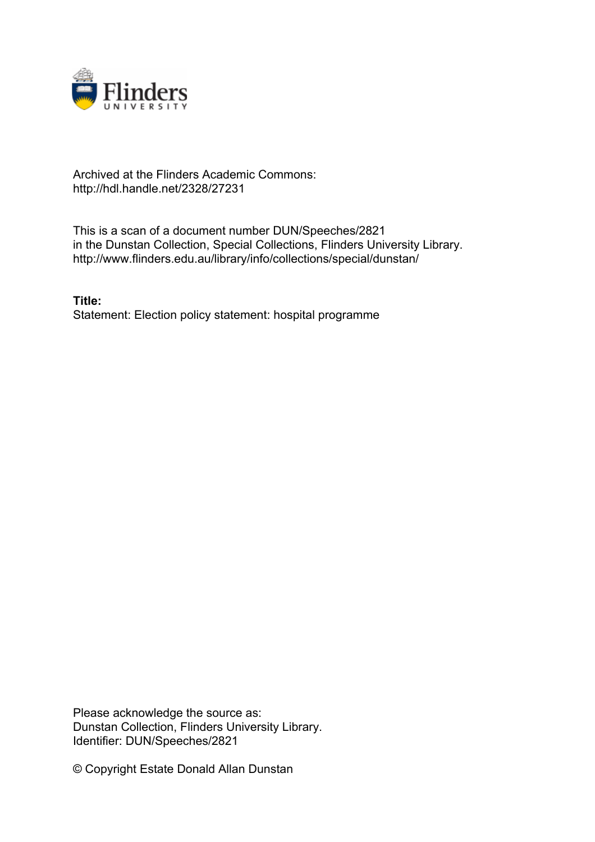

# Archived at the Flinders Academic Commons: http://hdl.handle.net/2328/27231

This is a scan of a document number DUN/Speeches/2821 in the Dunstan Collection, Special Collections, Flinders University Library. http://www.flinders.edu.au/library/info/collections/special/dunstan/

**Title:** Statement: Election policy statement: hospital programme

Please acknowledge the source as: Dunstan Collection, Flinders University Library. Identifier: DUN/Speeches/2821

© Copyright Estate Donald Allan Dunstan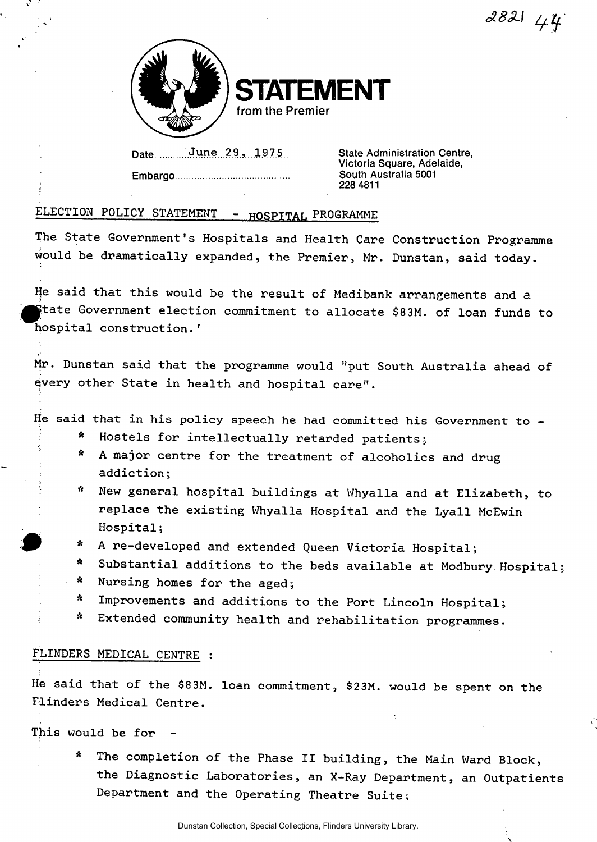*A8X\* 



**TATEMENT from the Premier** 

Date............June 29, 1975...

**Embargo** 

**State Administration Centre, Victoria Square, Adelaide, South Australia 5001 228 4811** 

# **ELECTION POLICY STATEMENT - HOSPTTAL PROGRAMME**

**The State Government's Hospitals and Health Care Construction Programme would be dramatically expanded, the Premier, Mr. Dunstan, said today.** 

**He said that this would be the result of Medibank arrangements and a .^jtate Government election commitment to allocate \$83M. of loan funds to hospital construction.'** 

**Mr. Dunstan said that the programme would "put South Australia ahead of every other State in health and hospital care".** 

- **He said that in his policy speech he had committed his Government to -**
	- **\* Hostels for intellectually retarded patients;**
	- **\* A major centre for the treatment of alcoholics and drug addiction;**
	- **\* New general hospital buildings at Whyalla and at Elizabeth, to replace the existing Whyalla Hospital and the Lyall McEwin Hospital;**
	- **A re-developed and extended Queen Victoria Hospital;**  ft
	- **Substantial additions to the beds available at Modbury.Hospital;**   $\star$
	- **Nursing homes for the aged;**   $\mathbf{r}$
	- **Improvements and additions to the Port Lincoln Hospital;**   $\mathbf{r}$
	- **Extended community health and rehabilitation programmes.**  ft

### **FLINDERS MEDICAL CENTRE :**

**He said that of the \$83M. loan commitment, \$23M. would be spent on the Flinders Medical Centre.** 

**This would be for -**

**\* The completion of the Phase II building, the Main Ward Block, the Diagnostic Laboratories, an X-Ray Department, an Outpatients Department and the Operating Theatre Suite;**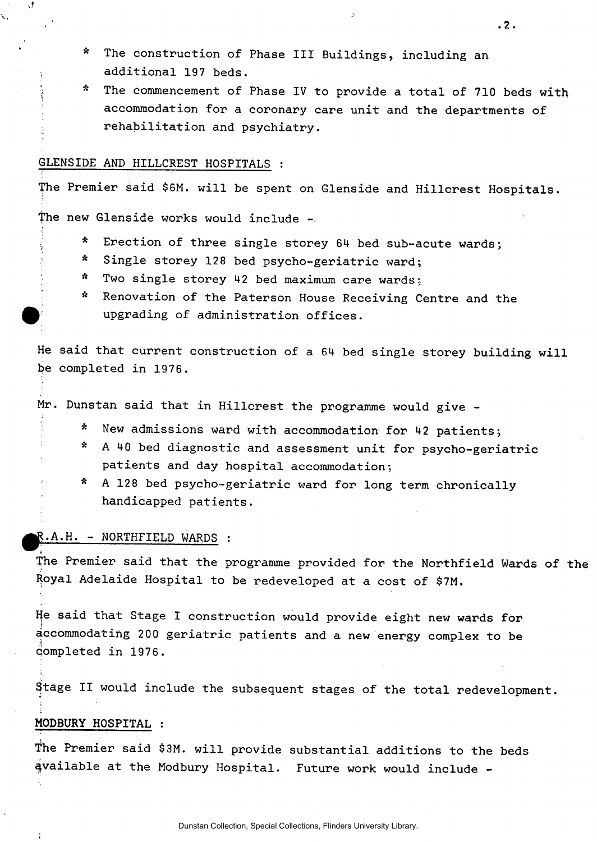- **\* The construction of Phase III Buildings, including an additional 197 beds.**
- **\* The commencement of Phase IV to provide a total of 710 beds with accommodation for a coronary care unit and the departments of rehabilitation and psychiatry.**

### **GLENSIDE AND HILLCREST HOSPITALS :**

 $\chi^2$ 

**The Premier said \$6M. will be spent on Glenside and Hillcrest Hospitals,** 

**fhe new Glenside works would include -**

- **\* Erection of three single storey 64 bed sub-acute wards;**
- **\* Single storey 128 bed psycho-geriatric ward;**
- **\* Two single storey 42 bed maximum care wards;**
- **\* Renovation of the Paterson House Receiving Centre and the upgrading of administration offices.**

**He said that current construction of a 64 bed single storey building will be completed in 1976.** 

**Mr. Dunstan said that in Hillcrest the programme would give -**

- **\* New admissions ward with accommodation for 42 patients;**
- **\* A 40 bed diagnostic and assessment unit for psycho-geriatric patients and day hospital accommodation;**
- **\* A 128 bed psycho-geriatric ward for long term chronically handicapped patients.**

### **y.A.H . - NORTHFIELD WARDS :**

**The Premier said that the programme provided for the Northfield Wards of the**  Royal Adelaide Hospital to be redeveloped at a cost of \$7M.

**He said that Stage I construction would provide eight new wards for accommodating 200 geriatric patients and a new energy complex to be Completed in 1976.** 

**Stage II would include the subsequent stages of the total redevelopment.** 

# **MODBURY HOSPITAL :**

**The Premier said \$3M. will provide substantial additions to the beds available at the Modbury Hospital. Future work would include -**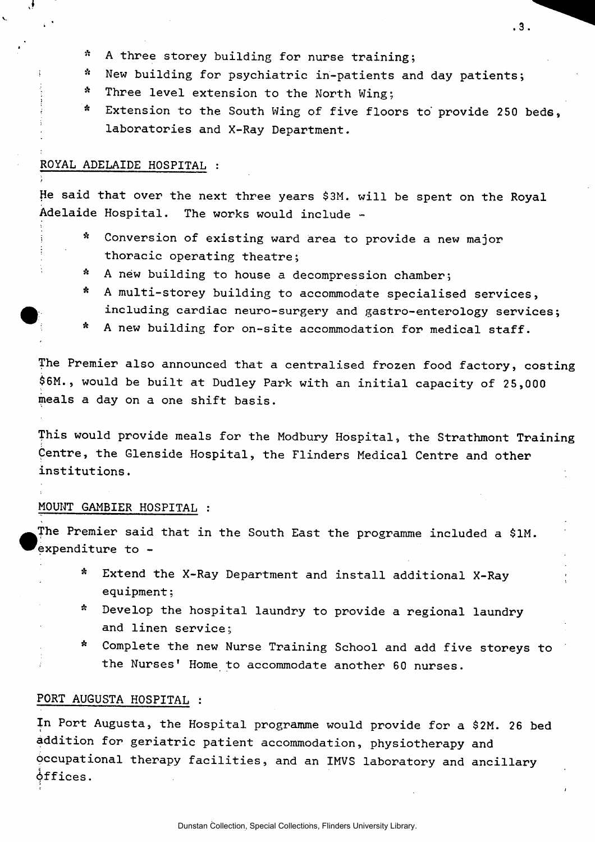- **\* A three storey building for nurse training;**
- **\* New building for psychiatric in-patients and day patients;**
- **: \* Three level extension to the North Wing;**
- **i \* Extension to the South Wing of five floors to" provide 250 beds, laboratories and X-Ray Department.**

### **ROYAL ADELAIDE HOSPITAL :**

 $\mathcal{N}_{\mathcal{A}}$ 

**He said that over the next three years \$3M. will be spent on the Royal Adelaide Hospital. The works would include -**

- **\* Conversion of existing ward area to provide a new major thoracic operating theatre;**
- **\* A new building to house a decompression chamber;**
- **\* A multi-storey building to accommodate specialised services, | including cardiac neuro-surgery and gastro-enterology services;**
- **\* A new building for on-site accommodation for medical staff.**

**The Premier also announced that a centralised frozen food factory, costing \$6M., would be built at Dudley Park with an initial capacity of 25,000 meals a day on a one shift basis.** 

**This would provide meals for the Modbury Hospital, the Strathmont Training Centre, the Glenside Hospital, the Flinders Medical Centre and other institutions.** 

### **MOUNT GAMBIER HOSPITAL :**

**The Premier said that in the South East the programme included a \$1M. "expenditure to -**

- **\* Extend the X-Ray Department and install additional X-Ray ; equipment;**
- **\* Develop the hospital laundry to provide a regional laundry and linen service;**
- **\* Complete the new Nurse Training School and add five storeys to the Nurses' Home to accommodate another 60 nurses.**

# **PORT AUGUSTA HOSPITAL :**

**In Port Augusta, the Hospital programme would provide for a \$2M. 26 bed addition for geriatric patient accommodation, physiotherapy and occupational therapy facilities, and an IMVS laboratory and ancillary**  .<br>من **6ffices.**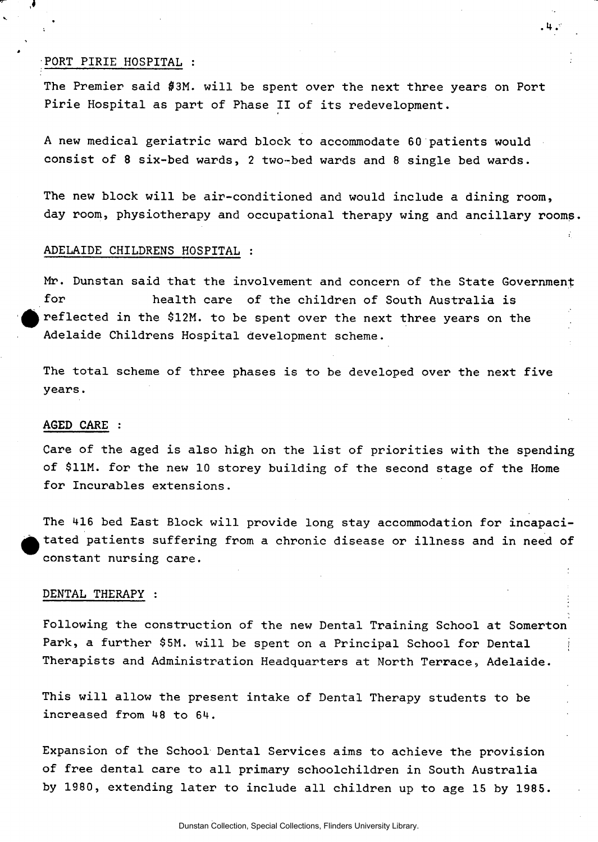### **PORT PIRIE HOSPITAL :**

**The Premier said \$3M. will be spent over the next three years on Port Pirie Hospital as part of Phase II of its redevelopment.** 

**A new medical geriatric ward block to accommodate 60 patients would consist of 8 six-bed wards, 2 two-bed wards and 8 single bed wards.** 

**The new block will be air-conditioned and would include a dining room, day room, physiotherapy and occupational therapy wing and ancillary rooms.** 

### **ADELAIDE CHILDRENS HOSPITAL :**

**Mr. Dunstan said that the involvement and concern of the State Government for health care of the children of South Australia is reflected in the \$12M. to be spent over the next three years on the Adelaide Childrens Hospital development scheme.** 

**The total scheme of three phases is to be developed over the next five years.** 

#### **AGED CARE :**

**Care of the aged is also high on the list of priorities with the spending of \$11M. for the new 10 storey building of the second stage of the Home for Incurables extensions.** 

**The 416 bed East Block will provide long stay accommodation for incapacitated patients suffering from a chronic disease or illness and in need of constant nursing care.** 

### **DENTAL THERAPY :**

**Following the construction of the new Dental Training School at Somerton Park, a further \$5M. will be spent on a Principal School for Dental Therapists and Administration Headquarters at North Terrace, Adelaide.** 

**This will allow the present intake of Dental Therapy students to be increased from 48 to 64.** 

**Expansion of the School Dental Services aims to achieve the provision of free dental care to all primary schoolchildren in South Australia by 1980, extending later to include all children up to age 15 by 1985.**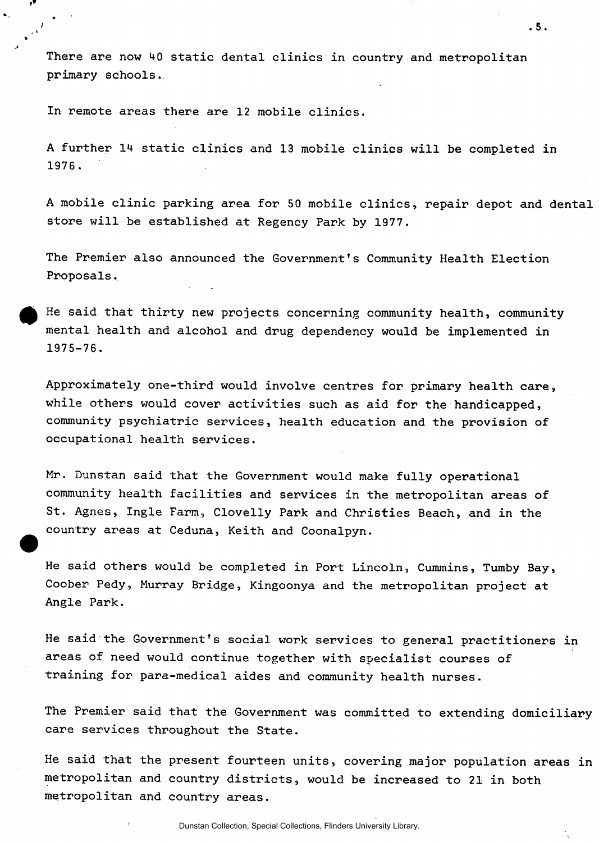**There are now 40 static dental clinics in country and metropolitan primary schools.** 

**In remote areas there are 12 mobile clinics.** 

**A further 14 static clinics and 13 mobile clinics will be completed in 1976 .** 

**A mobile clinic parking area for 50 mobile clinics, repair depot and dental store will be established at Regency Park by 1977.** 

**The Premier also announced the Government's Community Health Election Proposals.** 

**He said that thirty new projects concerning community health, community mental health and alcohol and drug dependency would be implemented in 1975-76.** 

**Approximately one-third would involve centres for primary health care, while others would cover activities such as aid for the handicapped, community psychiatric services, health education and the provision of occupational health services.** 

**Mr. Dunstan said that the Government would make fully operational community health facilities and services in the metropolitan areas of St. Agnes, Ingle Farm, Clovelly Park and Christies Beach, and in the country areas at Ceduna, Keith and Coonalpyn.** 

**He said others would be completed in Port Lincoln, Cummins, Tumby Bay, Coober Pedy, Murray Bridge, Kingoonya and the metropolitan project at Angle Park.** 

**He said the Government's social work services to general practitioners in areas of need would continue together with specialist courses of training for para-medical aides and community health nurses.** 

**The Premier said that the Government was committed to extending domiciliary care services throughout the State.** 

**He said that the present fourteen units, covering major population areas in metropolitan and country districts, would be increased to 21 in both metropolitan and country areas.** 

Dunstan Collection, Special Collections, Flinders University Library.

**I. I. I. I. I. I. I. I. I. I. I. I. I. I. I. I. I. I. I. I. I. I. I. I. I. I. I. I. I. I. I. I.**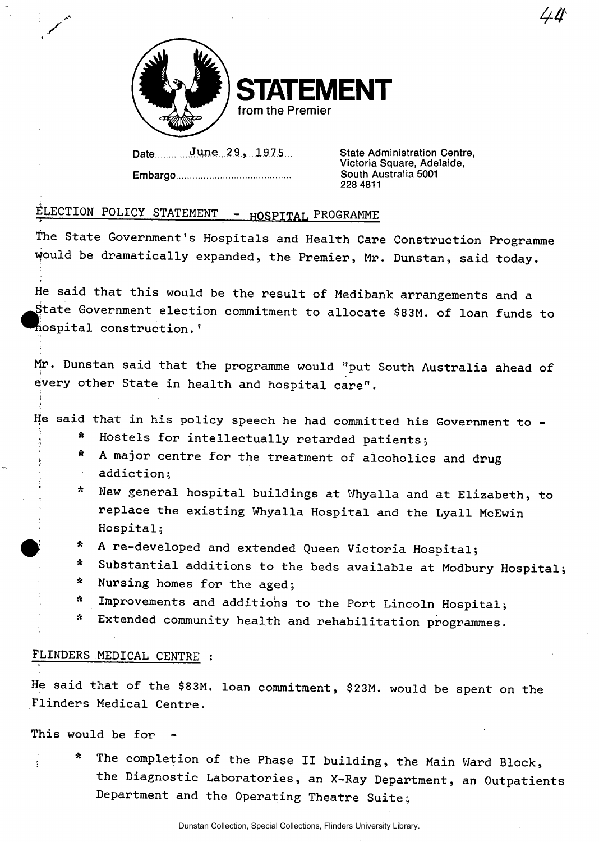

/

**STATEMENT from the Premier** 

Date June 29, 1975.

**Embargo** 

**State Administration Centre, Victoria Square, Adelaide, South Australia 5001 228 4811** 

4. LI

# **ELECTION POLICY STATEMENT - HOSPITAL PROGRAMME**

**The State Government's Hospitals and Health Care Construction Programme upuld be dramatically expanded, the Premier, Mr. Dunstan, said today.** 

**He said that this would be the result of Medibank arrangements and a ^tate Government election commitment to allocate \$83M. of loan funds to hospital construction.'** 

**Mr. Dunstan said that the programme would "put South Australia ahead of qjvery other State in health and hospital care".** 

- **He said that in his policy speech he had committed his Government to -**
	- **; \* Hostels for intellectually retarded patients;**
	- **! \* A major centre for the treatment of alcoholics and drug addiction;**
	- **New general hospital buildings at Whyalla and at Elizabeth, to replace the existing Whyalla Hospital and the Lyall McEwin Hospital;**  ft
	- **A re-developed and extended Queen Victoria Hospital;**  *a*
	- **Substantial additions to the beds available at Modbury Hospital;**   $\mathbf{r}$
	- **Nursing homes for the aged;**   $\mathbf{r}$
	- **Improvements and additions to the Port Lincoln Hospital;**   $\star$
	- **Extended community health and rehabilitation programmes.**  ft

# **FLINDERS MEDICAL CENTRE :**

**He said that of the \$83M. loan commitment, \$23M. would be spent on the Flinders Medical Centre.** 

**This would be for -**

**\* The completion of the Phase II building, the Main Ward Block, the Diagnostic Laboratories, an X-Ray Department, an Outpatients Department and the Operating Theatre Suite;**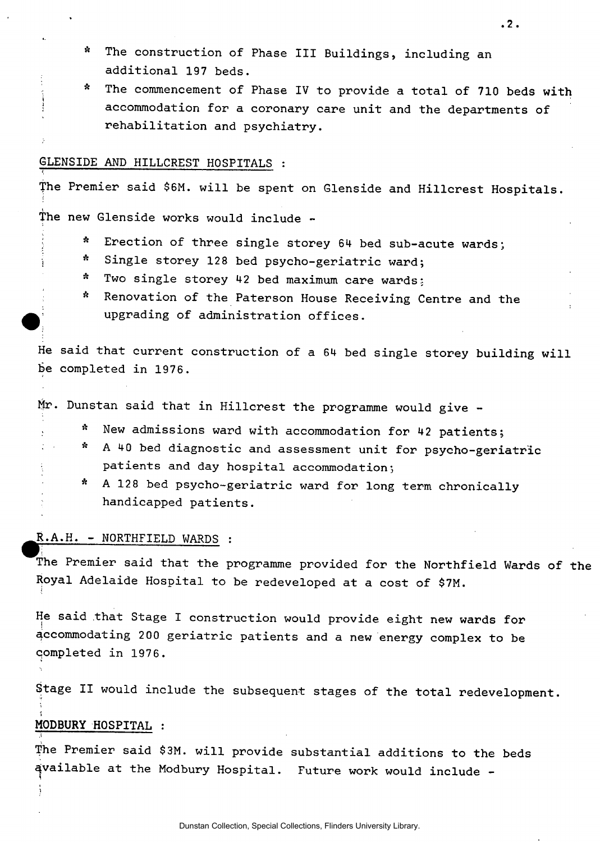- **\* The construction of Phase III Buildings, including an additional 197 beds.**
- **\* The commencement of Phase IV to provide a total of 710 beds with ' accommodation for a coronary care unit and the departments of rehabilitation and psychiatry.**

### **GLENSIDE AND HILLCREST HOSPITALS :**

**i** 

*<* 

**The Premier said \$6M. will be spent on Glenside and Hillcrest Hospitals.** 

**The new Glenside works would include ~** 

- ft **Erection of three single storey 64 bed sub-acute wards;**
- ft **Single storey 128 bed psycho-geriatric ward;**
- $\mathbf{r}$ **Two single storey 42 bed maximum care wards:**
- $\mathbf{r}$ **Renovation of the Paterson House Receiving Centre and the upgrading of administration offices.**

**He said that current construction of a 64 bed single storey building will be completed in 1976.** 

**Mr. Dunstan said that in Hillcrest the programme would give -**

- **\* New admissions ward with accommodation for 42 patients;**
- **\* A 40 bed diagnostic and assessment unit for psycho-geriatric patients and day hospital accommodation;**
- **\* A 128 bed psycho-geriatric ward for long term chronically handicapped patients.**

### **^R.A.H. - NORTHFIELD WARDS :**

**The Premier said that the programme provided for the Northfield Wards of the Royal Adelaide Hospital to be redeveloped at a cost of \$7M.** 

**He said that Stage I construction would provide eight new wards for accommodating 200 geriatric patients and a new energy complex to be**  completed in 1976.

**Stage II would include the subsequent stages of the total redevelopment.** 

### **MODBURY HOSPITAL :**

**The Premier said \$3M. will provide substantial additions to the beds available at the Modbury Hospital. Future work would include -**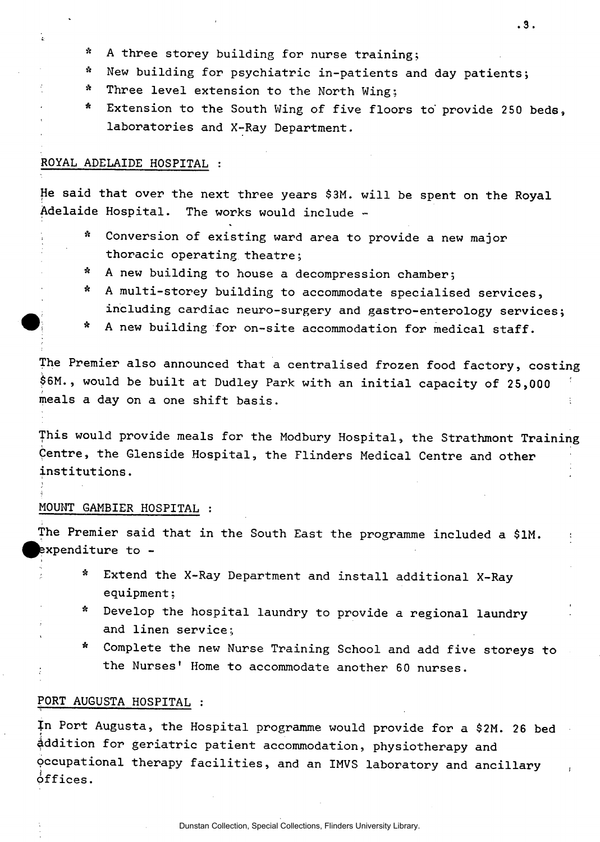- **\* A three storey building for nurse training;**
- **\* New building for psychiatric in-patients and day patients;**
- **\* Three level extension to the North Wing;**
- **\* Extens ion to the South Wing of five floors to provide 250 beds, laboratories and X-Ray Department.**

### **ROYAL ADELAIDE HOSPITAL :**

**He said that over the next three years \$3M. will be spent on the Royal Adelaide Hospital. The works would include -**

- **\* Conversion of existing ward area to provide a new major thoracic operating theatre;**
- **\* A new building to house a decompression chamber;**
- **\* A multi-storey building to accommodate specialised services, including cardiac neuro-surgery and gastro-enterology services;**
- **\* A new building for on-site accommodation for medical staff.**

**The Premier also announced that a centralised frozen food factory, costing \$6M. , would be built at Dudley Park with an initial capacity of 25,000**  *!*  **meals a day on a one shift basis.** 

**This would provide meals for the Modbury Hospital, the Strathmont Training Centre, the Glenside Hospital, the Flinders Medical Centre and other institutions.** 

# **MOUNT GAMBIER HOSPITAL :**

**The Premier said that in the South East the programme included a \$1M. ^Expenditure to -**

- **\* Extend the X-Ray Department and install additional X-Ray equipment;**
- **\* Develop the hospital laundry to provide a regional laundry and linen service;**
- **\* Complete the new Nurse Training School and add five storeys to the Nurses' Home to accommodate another 60 nurses.**

### **PORT AUGUSTA HOSPITAL :**

**In Port Augusta, the Hospital programme would provide for a \$2M. 26 bed Addition for geriatric patient accommodation, physiotherapy and pccupational therapy facilities, and an IMVS laboratory and ancillary offices.** 

**. 3 .**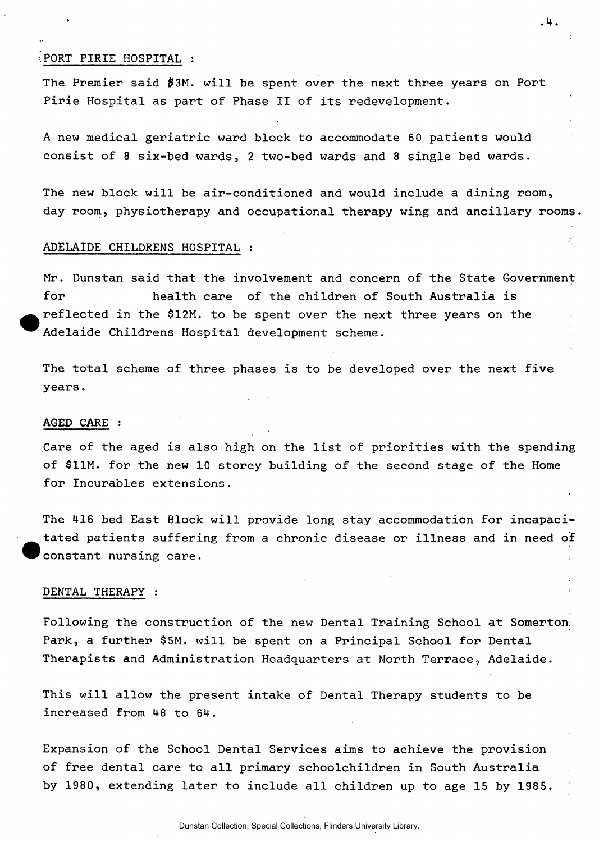### **•PORT PIRIE HOSPITAL :**

**The Premier said \$3M. will be spent over the next three years on Port Pirie Hospital as part of Phase II of its redevelopment.** 

**. 3 .** 

**A new medical geriatric ward block to accommodate 60 patients would consist of 8 six-bed wards, 2 two-bed wards and 8 single bed wards.** 

**The new block will be air-conditioned and would include a dining room, day room, physiotherapy and occupational therapy wing and ancillary rooms.** 

### **ADELAIDE CHILDRENS HOSPITAL :**

**Mr. Dunstan said that the involvement and concern of the State Government** *<sup>i</sup>* **for health care of the children of South Australia is reflected in the \$12M. to be spent over the next three years on the Adelaide Childrens Hospital development scheme.** 

**The total scheme of three phases is to be developed over the next five years.** 

#### **AGED CARE :**

**Care of the aged is also high on the list of priorities with the spending of \$11M. for the new 10 storey building of the second stage of the Home for Incurables extensions.** 

**The 416 bed East Block will provide long stay accommodation for incapacitated patients suffering from a chronic disease or illness and in need oif 'constant nursing care.** 

### **DENTAL THERAPY :**

**Following the construction of the new Dental Training School at Somerton: Park, a further \$5M. will be spent on a Principal School for Dental Therapists and Administration Headquarters at North Terrace, Adelaide.** 

**This will allow the present intake of Dental Therapy students to be increased from 48 to 64.** 

**Expansion of the School Dental Services aims to achieve the provision of free dental care to all primary schoolchildren in South Australia by 1980, extending later to include all children up to age 15 by 1985.**